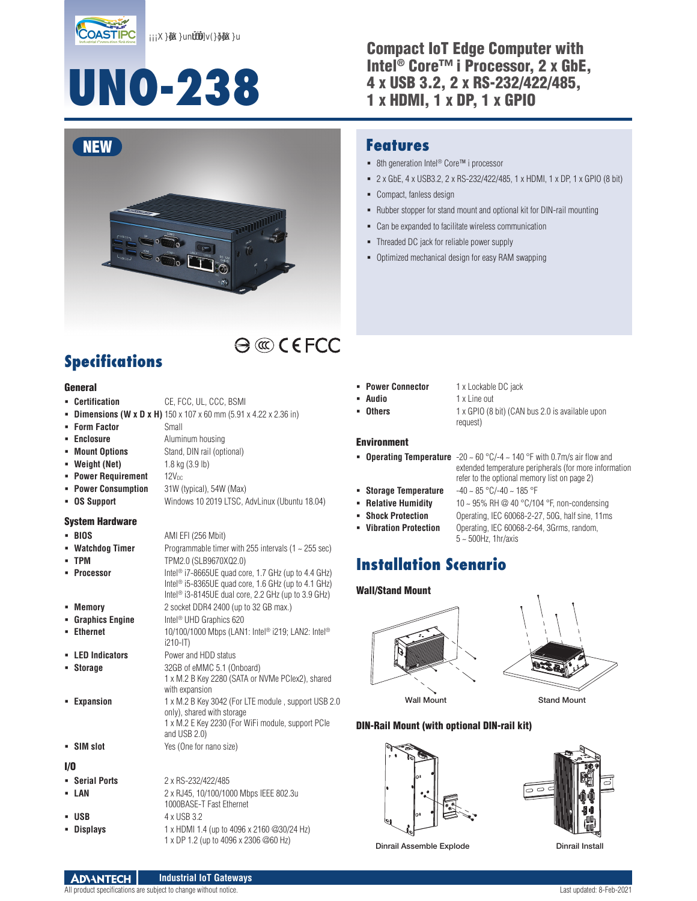XXunrrnv(Xu

# **UNO-238**

#### Compact IoT Edge Computer with Intel® Core™ i Processor, 2 x GbE, 4 x USB 3.2, 2 x RS-232/422/485, 1 x HDMI, 1 x DP, 1 x GPIO



### **Features**

- 8th generation Intel<sup>®</sup> Core™ i processor
- 2 x GbE, 4 x USB3.2, 2 x RS-232/422/485, 1 x HDMI, 1 x DP, 1 x GPIO (8 bit)
- Compact, fanless design
- Rubber stopper for stand mount and optional kit for DIN-rail mounting
- Can be expanded to facilitate wireless communication
- Threaded DC jack for reliable power supply
- Optimized mechanical design for easy RAM swapping

# **Specifications**

#### General

- **Certification** CE, FCC, UL, CCC, BSMI
- **Dimensions (W x D x H)** 150 x 107 x 60 mm (5.91 x 4.22 x 2.36 in)
- **Form Factor** Small
- **Enclosure** Aluminum housing
- **Mount Options** Stand, DIN rail (optional)
- **Weight (Net)** 1.8 kg (3.9 lb)
- **Power Requirement** 12V<sub>DC</sub>
- **Power Consumption** 31W (typical), 54W (Max)
- **OS Support** Windows 10 2019 LTSC, AdvLinux (Ubuntu 18.04)

#### System Hardware

- **BIOS** AMI EFI (256 Mbit) **Watchdog Timer** Programmable timer with 255 intervals (1 ~ 255 sec) **TPM** TPM2.0 (SLB9670XQ2.0) **Processor** Intel<sup>®</sup> i7-8665UE quad core, 1.7 GHz (up to 4.4 GHz) Intel® i5-8365UE quad core, 1.6 GHz (up to 4.1 GHz) Intel® i3-8145UE dual core, 2.2 GHz (up to 3.9 GHz) **Memory** 2 socket DDR4 2400 (up to 32 GB max.) **Graphics Engine** Intel<sup>®</sup> UHD Graphics 620 **Ethernet** 10/100/1000 Mbps (LAN1: Intel® i219; LAN2: Intel® i210-IT) **LED Indicators** Power and HDD status **Storage** 32GB of eMMC 5.1 (Onboard) 1 x M.2 B Key 2280 (SATA or NVMe PCIex2), shared with expansion
- **Expansion** 1 x M.2 B Key 3042 (For LTE module, support USB 2.0

#### **SIM slot** Yes (One for nano size)

#### I/O

 **Serial Ports** 2 x RS-232/422/485 **LAN** 2 x RJ45, 10/100/1000 Mbps IEEE 802.3u 1000BASE-T Fast Ethernet **USB**  $4 \times$  USB 3.2 **Displays** 1 x HDMI 1.4 (up to 4096 x 2160 @30/24 Hz) 1 x DP 1.2 (up to 4096 x 2306 @60 Hz)

and USB 2.0)

only), shared with storage

1 x M.2 E Key 2230 (For WiFi module, support PCIe

- **Power Connector** 1 x Lockable DC jack
	- **Audio** 1 x Line out

 $\ominus$  ( $\odot$   $\in$  FCC

- 
- **Others** 1 x GPIO (8 bit) (CAN bus 2.0 is available upon request)

#### Environment

- **Operating Temperature** -20 ~ 60 °C/-4 ~ 140 °F with 0.7m/s air flow and
- 
- 
- 
- 
- 
- extended temperature peripherals (for more information refer to the optional memory list on page 2) **Storage Temperature** -40 ~ 85 °C/-40 ~ 185 °F
- **Relative Humidity** 10 ~ 95% RH @ 40 °C/104 °F, non-condensing
- **Shock Protection** Operating, IEC 60068-2-27, 50G, half sine, 11ms
- **Vibration Protection** Operating, IEC 60068-2-64, 3Grms, random, 5 ~ 500Hz, 1hr/axis

# **Installation Scenario**

#### Wall/Stand Mount





DIN-Rail Mount (with optional DIN-rail kit)





Dinrail Assemble Explode Dinrail Install

**Industrial IoT Gateways ADVANTECH** All product specifications are subject to change without notice. Change without notice and the state of the content of the content of the content of the content of the content of the content of the content of the content o